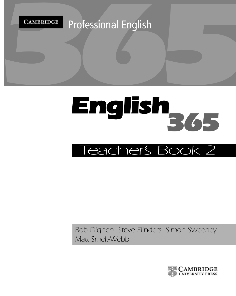### Professional English

# Teacher's Book 2 **26 AMBRIDGE** Professional English English<sub>365</sub>

Bob Dignen Steve Flinders Simon Sweeney Matt Smelt-Webb

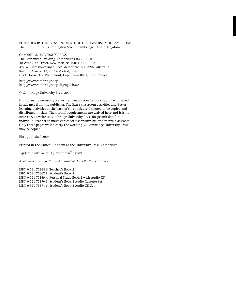PUBLISHED BY THE PRESS SYNDICATE OF THE UNIVERSITY OF CAMBRIDGE The Pitt Building, Trumpington Street, Cambridge, United Kingdom

CAMBRIDGE UNIVERSITY PRESS The Edinburgh Building, Cambridge CB2 2RU, UK 40 West 20th Street, New York, NY 10011–4211, USA 477 Williamstown Road, Port Melbourne, VIC 3207, Australia Ruiz de Alarcón 13, 28014 Madrid, Spain Dock House, The Waterfront, Cape Town 8001, South Africa

http://www.cambridge.org http://www.cambridge.org/elt/english365

© Cambridge University Press 2004

It is normally necessary for written permission for copying to be obtained in advance from the publisher. The Extra classroom activities and Better learning activities at the back of this book are designed to be copied and distributed in class. The normal requirements are waived here and it is not necessary to write to Cambridge University Press for permission for an individual teacher to make copies for use within his or her own classroom. Only those pages which carry the wording '© Cambridge University Press' may be copied.

First published 2004

Printed in the United Kingdom at the University Press, Cambridge

*Typeface* Swift *System* QuarkXpress® [HMCL]

*A catalogue record for this book is available from the British Library*

ISBN 0 521 75368 6 Teacher's Book 2 ISBN 0 521 75367 8 Student's Book 2 ISBN 0 521 75369 4 Personal Study Book 2 with Audio CD ISBN 0 521 75370 8 Student's Book 2 Audio Cassette Set ISBN 0 521 75371 6 Student's Book 2 Audio CD Set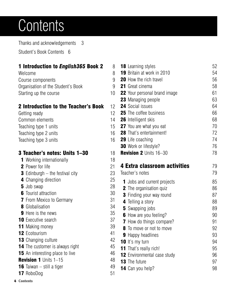## **Contents**

Thanks and acknowledgements 3

Student's Book Contents 6

| 8  |
|----|
|    |
| g  |
| 10 |
|    |

#### 2 Introduction to the Teacher's Book 12

Getting ready 12 Common elements 14 Teaching type 1 units 15 Teaching type 2 units 16 Teaching type 3 units 16

#### **3 Teacher's notes: Units 1-30** 18

- 1 Working internationally 18
- 2 Power for life 21
- **3** Edinburgh the festival city  $23$
- **4** Changing direction 25
- 5 Job swap 28
- **6** Tourist attraction 30
- **7** From Mexico to Germany 31
- 8 Globalisation 34
- **9** Here is the news 35
- **10** Executive search 37
- 11 Making money 39
- 12 Ecotourism 41
- 13 Changing culture 42
- **14** The customer is always right 45
- **15** An interesting place to live 46
- Revision 1 Units 1–15 48
- **16** Taiwan still a tiger  $49$
- 17 RoboDog 51

| <b>18</b> Learning styles                               | 52       |
|---------------------------------------------------------|----------|
| <b>19</b> Britain at work in 2010                       | 54       |
| <b>20</b> How the rich travel                           | 56       |
| <b>21</b> Great cinema                                  | 58       |
| <b>22</b> Your personal brand image                     | 61       |
| <b>23</b> Managing people                               | 63       |
| <b>24</b> Social issues                                 | 64       |
| <b>25</b> The coffee business                           | 66       |
| <b>26</b> Intelligent skis                              | 68       |
| <b>27</b> You are what you eat                          | 70       |
| <b>28</b> That's entertainment!                         | 72       |
| 29 Life coaching                                        | 74       |
| <b>30</b> Work or lifestyle?                            | 76       |
| <b>Revision 2 Units 16-30</b>                           | 78       |
| 4 Extra classroom activities                            | 79       |
| Teacher's notes                                         | 79       |
| <b>1</b> Jobs and current projects                      | 85       |
| <b>2</b> The organisation quiz                          | 86       |
| <b>3</b> Finding your way round                         | 87       |
| 4 Telling a story                                       | 88<br>89 |
| <b>5</b> Swapping jobs<br><b>6</b> How are you feeling? | 90       |
| <b>7</b> How do things compare?                         | 91       |
| <b>8</b> To move or not to move                         | 92       |
| <b>9</b> Happy headlines                                | 93       |
| <b>10</b> It's my turn                                  | 94       |
| <b>11</b> That's really rich!                           | 95       |
| <b>12</b> Environmental case study                      | 96       |
| <b>13</b> The future                                    | 97       |
| <b>14</b> Can you help?                                 | 98       |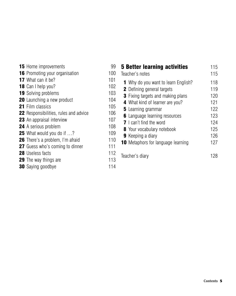| <b>15</b> Home improvements                  | 99  |
|----------------------------------------------|-----|
| <b>16</b> Promoting your organisation        | 100 |
| <b>17</b> What can it be?                    | 101 |
| <b>18</b> Can I help you?                    | 102 |
| <b>19</b> Solving problems                   | 103 |
| <b>20</b> Launching a new product            | 104 |
| <b>21</b> Film classics                      | 105 |
| <b>22</b> Responsibilities, rules and advice | 106 |
| <b>23</b> An appraisal interview             | 107 |
| <b>24</b> A serious problem                  | 108 |
| <b>25</b> What would you do if ?             | 109 |
| <b>26</b> There's a problem, I'm afraid      | 110 |
| <b>27</b> Guess who's coming to dinner       | 111 |
| 28 Useless facts                             | 112 |
| <b>29</b> The way things are                 | 113 |
| <b>30</b> Saying goodbye                     | 114 |
|                                              |     |

| <b>5 Better learning activities</b>        | 115 |
|--------------------------------------------|-----|
| Teacher's notes                            | 115 |
| <b>1</b> Why do you want to learn English? | 118 |
| <b>2</b> Defining general targets          | 119 |
| <b>3</b> Fixing targets and making plans   | 120 |
| <b>4</b> What kind of learner are you?     | 121 |
| <b>5</b> Learning grammar                  | 122 |
| <b>6</b> Language learning resources       | 123 |
| <b>7</b> Lean't find the word              | 124 |
| 8 Your vocabulary notebook                 | 125 |
| <b>9</b> Keeping a diary                   | 126 |
| <b>10</b> Metaphors for language learning  | 127 |
| Teacher's diary                            | 128 |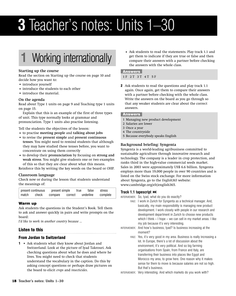# **3** Teacher's notes: Units 1–30

## **1** Working internationally

#### **Starting up the course**

Read the section on Starting up the course on page 10 and decide how you want to:

- introduce yourself
- introduce the students to each other
- introduce the material.

#### **On the agenda**

Read about Type 1 units on page 9 and Teaching type 1 units on page 15.

Explain that this is an example of the first of three types of unit. This type normally looks at grammar and pronunciation. Type 1 units also practise listening.

Tell the students the objectives of the lesson:

- to practise **meeting people** and **talking about jobs**
- to revise the **present simple** and **present continuous tenses**. You might need to remind students that although they may have studied these tenses before, you want to concentrate on using them correctly
- to develop their **pronunciation** by focusing on **strong and weak stress**. You might give students one or two examples of this so that they are clear about what this means.

Reinforce this by writing the key words on the board or OHP.

#### **Classroom language**

Check now or during the lesson that students understand the meanings of:

| present continuous | present simple |         | true | false     | stress   |
|--------------------|----------------|---------|------|-----------|----------|
| match<br>check     | compare        | correct |      | underline | complete |

#### Warm up

Ask students the questions in the Student's Book. Tell them to ask and answer quickly in pairs and write prompts on the board:

*I'd like to work in another country because …*

#### Listen to this

#### From Jordan to Switzerland

1 • Ask students what they know about Jordan and Switzerland. Look at the picture of Iyad Takrouri. Ask checking questions about what he does and where he lives. You might need to check that students understand the vocabulary in the caption. Do this by asking concept questions or perhaps draw pictures on the board to elicit *crops* and *insecticides*.

• Ask students to read the statements. Play track 1.1 and get them to indicate if they are true or false and then compare their answers with a partner before checking the answers with the whole class.

#### **Answers**

1 F 2 T 3 T 4 T 5 F

2 Ask students to read the questions and play track 1.1 again. Once again, get them to compare their answers with a partner before checking with the whole class. Write the answers on the board as you go through so that any weaker students are clear about the correct answers.

#### **Answers**

- 1 Managing new product development
- 2 Salaries are lower
- 3 Once a year
- 4 The countryside
- 5 Because everybody speaks English

#### **Background briefing: Syngenta**

Syngenta is a world-leading agribusiness committed to sustainable agriculture through innovative research and technology. The company is a leader in crop protection, and ranks third in the high-value commercial seeds market. Sales in 2003 were approximately US\$ 6.6 billion. Syngenta employs more than 19,000 people in over 90 countries and is listed on the Swiss stock exchange. For more information about Syngenta, go to the *English365* website: www.cambridge.org/elt/english365.

#### **Track 1.1 tapescript**

INTERVIEWER: So, Iyad, what do you do exactly?

- IYAD: I work in Zurich for Syngenta as a technical manager. And, basically, my main responsibility is managing new product development. I work closely with people in our research and development department in Zurich to choose new products which I think – I hope – we can sell in my market areas. I like my job because it's very interesting.
- INTERVIEWER: And how's business, Iyad? Is business increasing at the moment?
	- IYAD: Yes, it's very good in my area. Business is really increasing a lot. In Europe, there's a lot of discussion about the environment, it's very political. And so big farming organisations from Spain, from France and Italy, are transferring their business into places like Egypt and Morocco my area, to grow here. One reason why it makes sense for them to move is because salaries are not so high. But that's business.

INTERVIEWER: Very interesting. And which markets do you work with?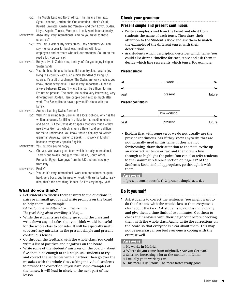- IYAD: The Middle East and North Africa. This means Iran, Iraq, Syria, Lebanon, Jordan, the Gulf countries – that's Saudi, Kuwait, Emirates, Oman and Yemen – and then Egypt, Sudan, Libya, Algeria, Tunisia, Morocco. I really work internationally.
- INTERVIEWER: Absolutely. Very international. And do you travel to these countries?
	- IYAD: Yes, I do. I visit all my sales areas my countries you can say – once a year for business meetings with local employees and partners who sell our products. So I'm on the road a lot, you can say.
- INTERVIEWER: But you live in Zurich now, don't you? Do you enjoy living in Switzerland?
	- IYAD: Yes, the best thing is the beautiful countryside. I also enjoy living in a country with such a high standard of living. Of course, it's a bit of a change. The Swiss are very precise, you know, about every detail. Time is very important – lunch is always between 12 and  $1 -$  and this can be difficult for me, I'm not so precise. The social life is also very interesting, very different from Jordan. Here people don't mix so much after work. The Swiss like to have a private life alone with the family.
- INTERVIEWER: Are you learning Swiss German?
	- IYAD: Well, I'm learning high German at a local college, which is the written language, for filling in official forms, reading letters, and so on. But the Swiss don't speak that very much – they use Swiss German, which is very different and very difficult for me to understand. You know, there's actually no written grammar. Anyway, I prefer to speak … to work in English because everybody speaks English.
- INTERVIEWER: Yes, but you sound happy.
	- IYAD: Oh, yes. We have a great team which is really international. There's one Swiss, one guy from Russia, South Africa, Romania, Egypt, two guys from the UK and one new guy from Italy.
- INTERVIEWER: Really?
	- IYAD: Yes, so it's very international. Work can sometimes be quite hard, very busy, but the people I work with are fantastic, really nice, that's the best thing, in fact. So I'm very happy, yes!

#### What do you think?

• Get students to discuss their answers to the questions in pairs or in small groups and write prompts on the board to help them. For example:

*I'd like to travel to different countries because … The good thing about travelling is (that) …*

- While the students are talking, go round the class and write down any mistakes that you think would be useful for the whole class to consider. It will be especially useful to record any mistakes in the present simple and present continuous tenses.
- Go through the feedback with the whole class. You could write a list of positives and negatives on the board.
- Write some of the students' mistakes on the board about five should be enough at this stage. Ask students to try and correct the sentences with a partner. Then go over the mistakes with the whole class, asking individual students to provide the correction. If you have some examples of the tenses, it will lead in nicely to the next part of the lesson.

#### Check your grammar

#### Present simple and present continuous

- Write examples **a** and **b** on the board and elicit from students the name of each tense. Then draw their attention to the Student's Book and ask them to match the examples of the different tenses with their descriptions.
- Ask students which description describes which tense. You could also draw a timeline for each tense and ask them to decide which line represents which tense. For example:

#### **Present simple**



#### **Present continuous**



• Explain that with some verbs we do not usually use the present continuous. Ask if they know any verbs that are not normally used in this tense. If they are not forthcoming, draw their attention to the note. Write up an incorrect sentence or two and then draw a line through to highlight the point. You can also refer students to the Grammar reference section on page 112 of the Student's Book, and, if appropriate, go through it with them.

#### **Answers**

1 (present continuous) b, f 2 (present simple) a, c, d, e

#### Do it yourself

1 Ask students to correct the sentences. You might want to do the first one with the whole class so that everyone is clear about the task. Ask students to do this individually and give them a time limit of two minutes. Get them to check their answers with their neighbour before checking them with the whole class. Again, write the corrections on the board so that everyone is clear about them. This may not be necessary if you feel everyone is coping with the exercise well.

#### Answers

- 1 He works in Madrid.
- 2 Where do you come from originally? Are you German?
- 3 Sales are increasing a lot at the moment in China.
- 4 I usually go to work by car.
- 5 This meal is delicious. The meat tastes really good.